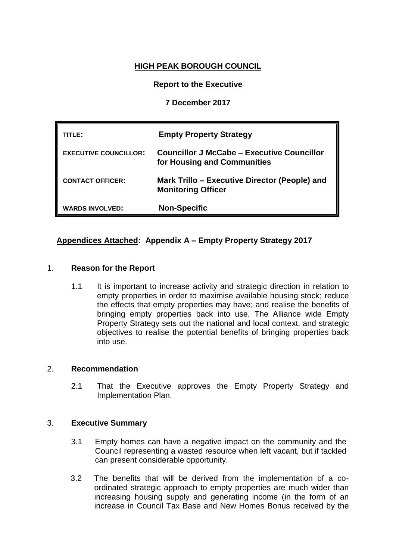# **HIGH PEAK BOROUGH COUNCIL**

## **Report to the Executive**

## **7 December 2017**

| TITLE:                       | <b>Empty Property Strategy</b>                                             |
|------------------------------|----------------------------------------------------------------------------|
| <b>EXECUTIVE COUNCILLOR:</b> | Councillor J McCabe – Executive Councillor<br>for Housing and Communities  |
| <b>CONTACT OFFICER:</b>      | Mark Trillo – Executive Director (People) and<br><b>Monitoring Officer</b> |
| <b>WARDS INVOLVED:</b>       | <b>Non-Specific</b>                                                        |

## **Appendices Attached: Appendix A – Empty Property Strategy 2017**

### 1. **Reason for the Report**

1.1 It is important to increase activity and strategic direction in relation to empty properties in order to maximise available housing stock; reduce the effects that empty properties may have; and realise the benefits of bringing empty properties back into use. The Alliance wide Empty Property Strategy sets out the national and local context, and strategic objectives to realise the potential benefits of bringing properties back into use.

#### 2. **Recommendation**

2.1 That the Executive approves the Empty Property Strategy and Implementation Plan.

#### 3. **Executive Summary**

- 3.1 Empty homes can have a negative impact on the community and the Council representing a wasted resource when left vacant, but if tackled can present considerable opportunity.
- 3.2 The benefits that will be derived from the implementation of a coordinated strategic approach to empty properties are much wider than increasing housing supply and generating income (in the form of an increase in Council Tax Base and New Homes Bonus received by the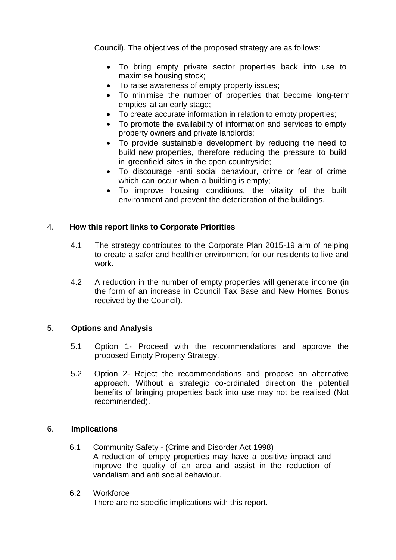Council). The objectives of the proposed strategy are as follows:

- To bring empty private sector properties back into use to maximise housing stock;
- To raise awareness of empty property issues;
- To minimise the number of properties that become long-term empties at an early stage;
- To create accurate information in relation to empty properties;
- To promote the availability of information and services to empty property owners and private landlords;
- To provide sustainable development by reducing the need to build new properties, therefore reducing the pressure to build in greenfield sites in the open countryside;
- To discourage -anti social behaviour, crime or fear of crime which can occur when a building is empty;
- To improve housing conditions, the vitality of the built environment and prevent the deterioration of the buildings.

### 4. **How this report links to Corporate Priorities**

- 4.1 The strategy contributes to the Corporate Plan 2015-19 aim of helping to create a safer and healthier environment for our residents to live and work.
- 4.2 A reduction in the number of empty properties will generate income (in the form of an increase in Council Tax Base and New Homes Bonus received by the Council).

### 5. **Options and Analysis**

- 5.1 Option 1- Proceed with the recommendations and approve the proposed Empty Property Strategy.
- 5.2 Option 2- Reject the recommendations and propose an alternative approach. Without a strategic co-ordinated direction the potential benefits of bringing properties back into use may not be realised (Not recommended).

#### 6. **Implications**

- 6.1 Community Safety (Crime and Disorder Act 1998) A reduction of empty properties may have a positive impact and improve the quality of an area and assist in the reduction of vandalism and anti social behaviour.
- 6.2 Workforce

There are no specific implications with this report.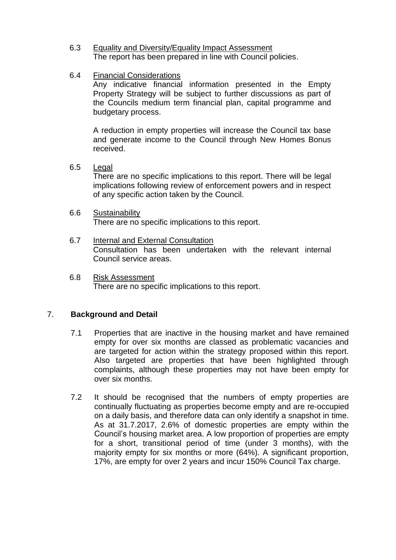- 6.3 Equality and Diversity/Equality Impact Assessment The report has been prepared in line with Council policies.
- 6.4 Financial Considerations

Any indicative financial information presented in the Empty Property Strategy will be subject to further discussions as part of the Councils medium term financial plan, capital programme and budgetary process.

A reduction in empty properties will increase the Council tax base and generate income to the Council through New Homes Bonus received.

- 6.5 Legal There are no specific implications to this report. There will be legal implications following review of enforcement powers and in respect of any specific action taken by the Council.
- 6.6 Sustainability

There are no specific implications to this report.

- 6.7 Internal and External Consultation Consultation has been undertaken with the relevant internal Council service areas.
- 6.8 Risk Assessment There are no specific implications to this report.

### 7. **Background and Detail**

- 7.1 Properties that are inactive in the housing market and have remained empty for over six months are classed as problematic vacancies and are targeted for action within the strategy proposed within this report. Also targeted are properties that have been highlighted through complaints, although these properties may not have been empty for over six months.
- 7.2 It should be recognised that the numbers of empty properties are continually fluctuating as properties become empty and are re-occupied on a daily basis, and therefore data can only identify a snapshot in time. As at 31.7.2017, 2.6% of domestic properties are empty within the Council's housing market area. A low proportion of properties are empty for a short, transitional period of time (under 3 months), with the majority empty for six months or more (64%). A significant proportion, 17%, are empty for over 2 years and incur 150% Council Tax charge.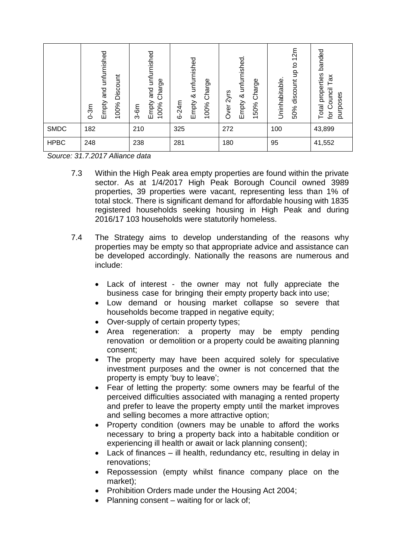|             | Empty and unfurnished<br>Discount<br>100%<br>$0 - 3m$ | and unfurnished<br>Charge<br>Empty<br>100%<br>$3-6m$ | unfurnished<br>Charge<br>∞<br>Empty<br>$6 - 24m$<br>100% | & unfurnished<br>Charge<br>Over 2yrs<br>Empty<br>50%<br>$\overline{\phantom{0}}$ | 12m<br>$\overline{c}$<br>$\epsilon$<br>Uninhabitable<br>discount<br>50% | banded<br>properties<br>Tax<br>Council<br>purposes<br>Total<br>tor |
|-------------|-------------------------------------------------------|------------------------------------------------------|----------------------------------------------------------|----------------------------------------------------------------------------------|-------------------------------------------------------------------------|--------------------------------------------------------------------|
| <b>SMDC</b> | 182                                                   | 210                                                  | 325                                                      | 272                                                                              | 100                                                                     | 43,899                                                             |
| <b>HPBC</b> | 248                                                   | 238                                                  | 281                                                      | 180                                                                              | 95                                                                      | 41,552                                                             |

*Source: 31.7.2017 Alliance data*

- 7.3 Within the High Peak area empty properties are found within the private sector. As at 1/4/2017 High Peak Borough Council owned 3989 properties, 39 properties were vacant, representing less than 1% of total stock. There is significant demand for affordable housing with 1835 registered households seeking housing in High Peak and during 2016/17 103 households were statutorily homeless.
- 7.4 The Strategy aims to develop understanding of the reasons why properties may be empty so that appropriate advice and assistance can be developed accordingly. Nationally the reasons are numerous and include:
	- Lack of interest the owner may not fully appreciate the business case for bringing their empty property back into use;
	- Low demand or housing market collapse so severe that households become trapped in negative equity;
	- Over-supply of certain property types;
	- Area regeneration: a property may be empty pending renovation or demolition or a property could be awaiting planning consent;
	- The property may have been acquired solely for speculative investment purposes and the owner is not concerned that the property is empty 'buy to leave';
	- Fear of letting the property: some owners may be fearful of the perceived difficulties associated with managing a rented property and prefer to leave the property empty until the market improves and selling becomes a more attractive option;
	- Property condition (owners may be unable to afford the works necessary to bring a property back into a habitable condition or experiencing ill health or await or lack planning consent);
	- Lack of finances ill health, redundancy etc, resulting in delay in renovations;
	- Repossession (empty whilst finance company place on the market);
	- Prohibition Orders made under the Housing Act 2004;
	- Planning consent waiting for or lack of;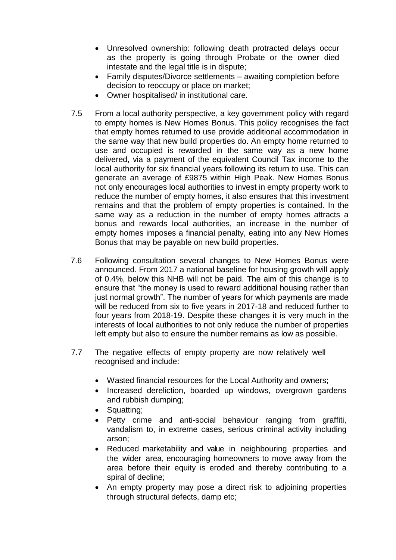- Unresolved ownership: following death protracted delays occur as the property is going through Probate or the owner died intestate and the legal title is in dispute;
- Family disputes/Divorce settlements awaiting completion before decision to reoccupy or place on market;
- Owner hospitalised/ in institutional care.
- 7.5 From a local authority perspective, a key government policy with regard to empty homes is New Homes Bonus. This policy recognises the fact that empty homes returned to use provide additional accommodation in the same way that new build properties do. An empty home returned to use and occupied is rewarded in the same way as a new home delivered, via a payment of the equivalent Council Tax income to the local authority for six financial years following its return to use. This can generate an average of £9875 within High Peak. New Homes Bonus not only encourages local authorities to invest in empty property work to reduce the number of empty homes, it also ensures that this investment remains and that the problem of empty properties is contained. In the same way as a reduction in the number of empty homes attracts a bonus and rewards local authorities, an increase in the number of empty homes imposes a financial penalty, eating into any New Homes Bonus that may be payable on new build properties.
- 7.6 Following consultation several changes to New Homes Bonus were announced. From 2017 a national baseline for housing growth will apply of 0.4%, below this NHB will not be paid. The aim of this change is to ensure that "the money is used to reward additional housing rather than just normal growth". The number of years for which payments are made will be reduced from six to five years in 2017-18 and reduced further to four years from 2018-19. Despite these changes it is very much in the interests of local authorities to not only reduce the number of properties left empty but also to ensure the number remains as low as possible.
- 7.7 The negative effects of empty property are now relatively well recognised and include:
	- Wasted financial resources for the Local Authority and owners;
	- Increased dereliction, boarded up windows, overgrown gardens and rubbish dumping;
	- Squatting;
	- Petty crime and anti-social behaviour ranging from graffiti, vandalism to, in extreme cases, serious criminal activity including arson;
	- Reduced marketability and value in neighbouring properties and the wider area, encouraging homeowners to move away from the area before their equity is eroded and thereby contributing to a spiral of decline;
	- An empty property may pose a direct risk to adjoining properties through structural defects, damp etc;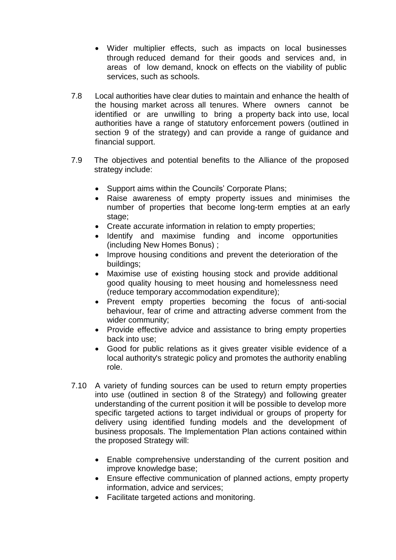- Wider multiplier effects, such as impacts on local businesses through reduced demand for their goods and services and, in areas of low demand, knock on effects on the viability of public services, such as schools.
- 7.8 Local authorities have clear duties to maintain and enhance the health of the housing market across all tenures. Where owners cannot be identified or are unwilling to bring a property back into use, local authorities have a range of statutory enforcement powers (outlined in section 9 of the strategy) and can provide a range of guidance and financial support.
- 7.9 The objectives and potential benefits to the Alliance of the proposed strategy include:
	- Support aims within the Councils' Corporate Plans:
	- Raise awareness of empty property issues and minimises the number of properties that become long-term empties at an early stage:
	- Create accurate information in relation to empty properties;
	- Identify and maximise funding and income opportunities (including New Homes Bonus) ;
	- Improve housing conditions and prevent the deterioration of the buildings;
	- Maximise use of existing housing stock and provide additional good quality housing to meet housing and homelessness need (reduce temporary accommodation expenditure);
	- Prevent empty properties becoming the focus of anti-social behaviour, fear of crime and attracting adverse comment from the wider community;
	- Provide effective advice and assistance to bring empty properties back into use;
	- Good for public relations as it gives greater visible evidence of a local authority's strategic policy and promotes the authority enabling role.
- 7.10 A variety of funding sources can be used to return empty properties into use (outlined in section 8 of the Strategy) and following greater understanding of the current position it will be possible to develop more specific targeted actions to target individual or groups of property for delivery using identified funding models and the development of business proposals. The Implementation Plan actions contained within the proposed Strategy will:
	- Enable comprehensive understanding of the current position and improve knowledge base;
	- Ensure effective communication of planned actions, empty property information, advice and services;
	- Facilitate targeted actions and monitoring.